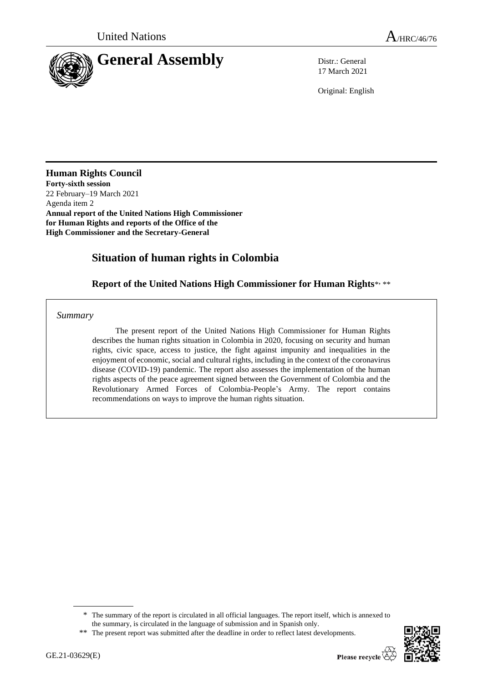

17 March 2021

Original: English

**Human Rights Council Forty-sixth session** 22 February–19 March 2021 Agenda item 2 **Annual report of the United Nations High Commissioner for Human Rights and reports of the Office of the High Commissioner and the Secretary-General**

# **Situation of human rights in Colombia**

# Report of the United Nations High Commissioner for Human Rights\*, \*\*

*Summary*

The present report of the United Nations High Commissioner for Human Rights describes the human rights situation in Colombia in 2020, focusing on security and human rights, civic space, access to justice, the fight against impunity and inequalities in the enjoyment of economic, social and cultural rights, including in the context of the coronavirus disease (COVID-19) pandemic. The report also assesses the implementation of the human rights aspects of the peace agreement signed between the Government of Colombia and the Revolutionary Armed Forces of Colombia-People's Army. The report contains recommendations on ways to improve the human rights situation.



<sup>\*</sup> The summary of the report is circulated in all official languages. The report itself, which is annexed to the summary, is circulated in the language of submission and in Spanish only.

<sup>\*\*</sup> The present report was submitted after the deadline in order to reflect latest developments.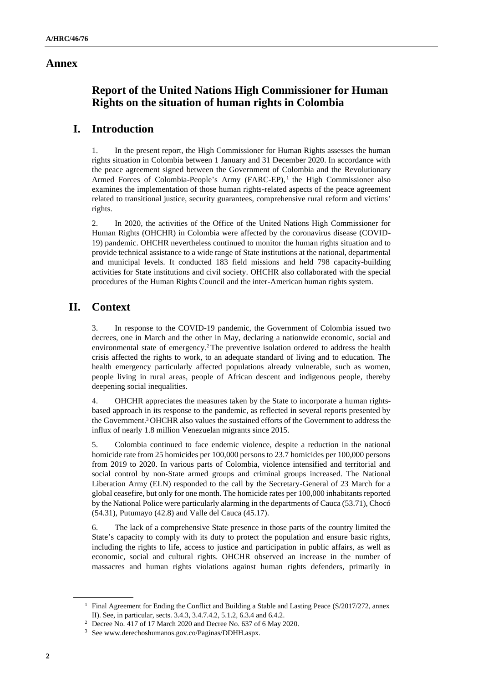### **Annex**

# **Report of the United Nations High Commissioner for Human Rights on the situation of human rights in Colombia**

# **I. Introduction**

1. In the present report, the High Commissioner for Human Rights assesses the human rights situation in Colombia between 1 January and 31 December 2020. In accordance with the peace agreement signed between the Government of Colombia and the Revolutionary Armed Forces of Colombia-People's Army (FARC-EP),<sup>1</sup> the High Commissioner also examines the implementation of those human rights-related aspects of the peace agreement related to transitional justice, security guarantees, comprehensive rural reform and victims' rights.

2. In 2020, the activities of the Office of the United Nations High Commissioner for Human Rights (OHCHR) in Colombia were affected by the coronavirus disease (COVID-19) pandemic. OHCHR nevertheless continued to monitor the human rights situation and to provide technical assistance to a wide range of State institutions at the national, departmental and municipal levels. It conducted 183 field missions and held 798 capacity-building activities for State institutions and civil society. OHCHR also collaborated with the special procedures of the Human Rights Council and the inter-American human rights system.

# **II. Context**

3. In response to the COVID-19 pandemic, the Government of Colombia issued two decrees, one in March and the other in May, declaring a nationwide economic, social and environmental state of emergency.<sup>2</sup> The preventive isolation ordered to address the health crisis affected the rights to work, to an adequate standard of living and to education. The health emergency particularly affected populations already vulnerable, such as women, people living in rural areas, people of African descent and indigenous people, thereby deepening social inequalities.

4. OHCHR appreciates the measures taken by the State to incorporate a human rightsbased approach in its response to the pandemic, as reflected in several reports presented by the Government.<sup>3</sup> OHCHR also values the sustained efforts of the Government to address the influx of nearly 1.8 million Venezuelan migrants since 2015.

5. Colombia continued to face endemic violence, despite a reduction in the national homicide rate from 25 homicides per 100,000 persons to 23.7 homicides per 100,000 persons from 2019 to 2020. In various parts of Colombia, violence intensified and territorial and social control by non-State armed groups and criminal groups increased. The National Liberation Army (ELN) responded to the call by the Secretary-General of 23 March for a global ceasefire, but only for one month. The homicide rates per 100,000 inhabitants reported by the National Police were particularly alarming in the departments of Cauca (53.71), Chocó (54.31), Putumayo (42.8) and Valle del Cauca (45.17).

6. The lack of a comprehensive State presence in those parts of the country limited the State's capacity to comply with its duty to protect the population and ensure basic rights, including the rights to life, access to justice and participation in public affairs, as well as economic, social and cultural rights. OHCHR observed an increase in the number of massacres and human rights violations against human rights defenders, primarily in

<sup>&</sup>lt;sup>1</sup> Final Agreement for Ending the Conflict and Building a Stable and Lasting Peace (S/2017/272, annex II). See, in particular, sects. 3.4.3, 3.4.7.4.2, 5.1.2, 6.3.4 and 6.4.2.

<sup>2</sup> Decree No. 417 of 17 March 2020 and Decree No. 637 of 6 May 2020.

<sup>3</sup> See www.derechoshumanos.gov.co/Paginas/DDHH.aspx.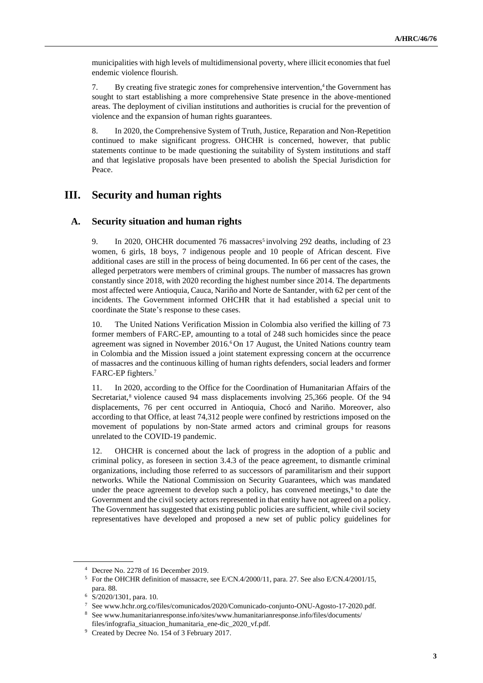municipalities with high levels of multidimensional poverty, where illicit economies that fuel endemic violence flourish.

7. By creating five strategic zones for comprehensive intervention,<sup>4</sup> the Government has sought to start establishing a more comprehensive State presence in the above-mentioned areas. The deployment of civilian institutions and authorities is crucial for the prevention of violence and the expansion of human rights guarantees.

8. In 2020, the Comprehensive System of Truth, Justice, Reparation and Non-Repetition continued to make significant progress. OHCHR is concerned, however, that public statements continue to be made questioning the suitability of System institutions and staff and that legislative proposals have been presented to abolish the Special Jurisdiction for Peace.

## **III. Security and human rights**

### **A. Security situation and human rights**

9. In 2020, OHCHR documented 76 massacres<sup>5</sup> involving 292 deaths, including of 23 women, 6 girls, 18 boys, 7 indigenous people and 10 people of African descent. Five additional cases are still in the process of being documented. In 66 per cent of the cases, the alleged perpetrators were members of criminal groups. The number of massacres has grown constantly since 2018, with 2020 recording the highest number since 2014. The departments most affected were Antioquia, Cauca, Nariño and Norte de Santander, with 62 per cent of the incidents. The Government informed OHCHR that it had established a special unit to coordinate the State's response to these cases.

10. The United Nations Verification Mission in Colombia also verified the killing of 73 former members of FARC-EP, amounting to a total of 248 such homicides since the peace agreement was signed in November 2016.<sup>6</sup> On 17 August, the United Nations country team in Colombia and the Mission issued a joint statement expressing concern at the occurrence of massacres and the continuous killing of human rights defenders, social leaders and former FARC-EP fighters.<sup>7</sup>

11. In 2020, according to the Office for the Coordination of Humanitarian Affairs of the Secretariat,<sup>8</sup> violence caused 94 mass displacements involving 25,366 people. Of the 94 displacements, 76 per cent occurred in Antioquia, Chocó and Nariño. Moreover, also according to that Office, at least 74,312 people were confined by restrictions imposed on the movement of populations by non-State armed actors and criminal groups for reasons unrelated to the COVID-19 pandemic.

12. OHCHR is concerned about the lack of progress in the adoption of a public and criminal policy, as foreseen in section 3.4.3 of the peace agreement, to dismantle criminal organizations, including those referred to as successors of paramilitarism and their support networks. While the National Commission on Security Guarantees, which was mandated under the peace agreement to develop such a policy, has convened meetings,<sup>9</sup> to date the Government and the civil society actors represented in that entity have not agreed on a policy. The Government has suggested that existing public policies are sufficient, while civil society representatives have developed and proposed a new set of public policy guidelines for

<sup>4</sup> Decree No. 2278 of 16 December 2019.

<sup>5</sup> For the OHCHR definition of massacre, see E/CN.4/2000/11, para. 27. See also E/CN.4/2001/15, para. 88.

<sup>6</sup> S/2020/1301, para. 10.

<sup>7</sup> See www.hchr.org.co/files/comunicados/2020/Comunicado-conjunto-ONU-Agosto-17-2020.pdf.

<sup>8</sup> See www.humanitarianresponse.info/sites/www.humanitarianresponse.info/files/documents/ files/infografia\_situacion\_humanitaria\_ene-dic\_2020\_vf.pdf.

<sup>&</sup>lt;sup>9</sup> Created by Decree No. 154 of 3 February 2017.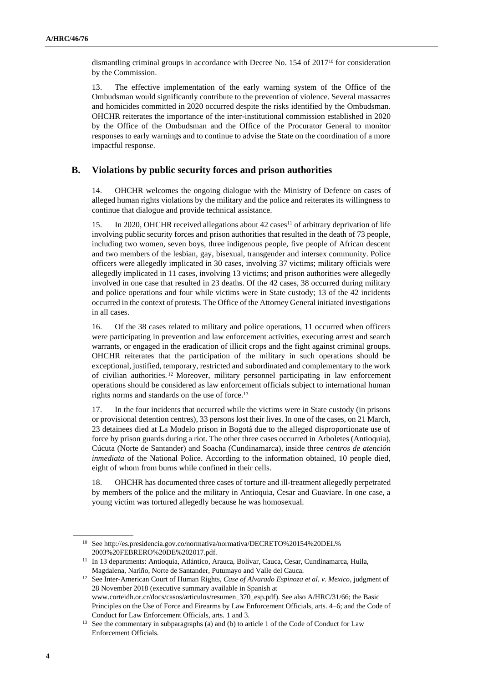dismantling criminal groups in accordance with Decree No. 154 of 2017<sup>10</sup> for consideration by the Commission.

13. The effective implementation of the early warning system of the Office of the Ombudsman would significantly contribute to the prevention of violence. Several massacres and homicides committed in 2020 occurred despite the risks identified by the Ombudsman. OHCHR reiterates the importance of the inter-institutional commission established in 2020 by the Office of the Ombudsman and the Office of the Procurator General to monitor responses to early warnings and to continue to advise the State on the coordination of a more impactful response.

### **B. Violations by public security forces and prison authorities**

14. OHCHR welcomes the ongoing dialogue with the Ministry of Defence on cases of alleged human rights violations by the military and the police and reiterates its willingness to continue that dialogue and provide technical assistance.

15. In 2020, OHCHR received allegations about 42 cases<sup>11</sup> of arbitrary deprivation of life involving public security forces and prison authorities that resulted in the death of 73 people, including two women, seven boys, three indigenous people, five people of African descent and two members of the lesbian, gay, bisexual, transgender and intersex community. Police officers were allegedly implicated in 30 cases, involving 37 victims; military officials were allegedly implicated in 11 cases, involving 13 victims; and prison authorities were allegedly involved in one case that resulted in 23 deaths. Of the 42 cases, 38 occurred during military and police operations and four while victims were in State custody; 13 of the 42 incidents occurred in the context of protests. The Office of the Attorney General initiated investigations in all cases.

16. Of the 38 cases related to military and police operations, 11 occurred when officers were participating in prevention and law enforcement activities, executing arrest and search warrants, or engaged in the eradication of illicit crops and the fight against criminal groups. OHCHR reiterates that the participation of the military in such operations should be exceptional, justified, temporary, restricted and subordinated and complementary to the work of civilian authorities. <sup>12</sup> Moreover, military personnel participating in law enforcement operations should be considered as law enforcement officials subject to international human rights norms and standards on the use of force.<sup>13</sup>

17. In the four incidents that occurred while the victims were in State custody (in prisons or provisional detention centres), 33 persons lost their lives. In one of the cases, on 21 March, 23 detainees died at La Modelo prison in Bogotá due to the alleged disproportionate use of force by prison guards during a riot. The other three cases occurred in Arboletes (Antioquia), Cúcuta (Norte de Santander) and Soacha (Cundinamarca), inside three *centros de atención inmediata* of the National Police. According to the information obtained, 10 people died, eight of whom from burns while confined in their cells.

18. OHCHR has documented three cases of torture and ill-treatment allegedly perpetrated by members of the police and the military in Antioquia, Cesar and Guaviare. In one case, a young victim was tortured allegedly because he was homosexual.

<sup>10</sup> See http://es.presidencia.gov.co/normativa/normativa/DECRETO%20154%20DEL% 2003%20FEBRERO%20DE%202017.pdf.

<sup>&</sup>lt;sup>11</sup> In 13 departments: Antioquia, Atlántico, Arauca, Bolívar, Cauca, Cesar, Cundinamarca, Huila, Magdalena, Nariño, Norte de Santander, Putumayo and Valle del Cauca.

<sup>12</sup> See Inter-American Court of Human Rights, *Case of Alvarado Espinoza et al. v. Mexico*, judgment of 28 November 2018 (executive summary available in Spanish at www.corteidh.or.cr/docs/casos/articulos/resumen\_370\_esp.pdf). See also A/HRC/31/66; the Basic Principles on the Use of Force and Firearms by Law Enforcement Officials, arts. 4–6; and the Code of Conduct for Law Enforcement Officials, arts. 1 and 3.

<sup>&</sup>lt;sup>13</sup> See the commentary in subparagraphs (a) and (b) to article 1 of the Code of Conduct for Law Enforcement Officials.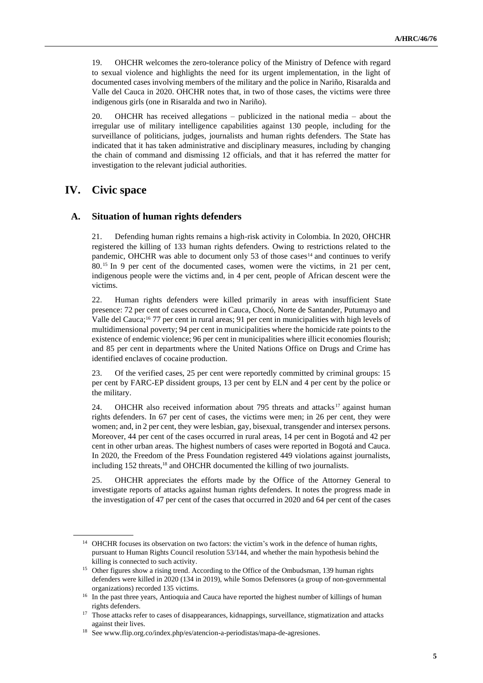19. OHCHR welcomes the zero-tolerance policy of the Ministry of Defence with regard to sexual violence and highlights the need for its urgent implementation, in the light of documented cases involving members of the military and the police in Nariño, Risaralda and Valle del Cauca in 2020. OHCHR notes that, in two of those cases, the victims were three indigenous girls (one in Risaralda and two in Nariño).

20. OHCHR has received allegations – publicized in the national media – about the irregular use of military intelligence capabilities against 130 people, including for the surveillance of politicians, judges, journalists and human rights defenders. The State has indicated that it has taken administrative and disciplinary measures, including by changing the chain of command and dismissing 12 officials, and that it has referred the matter for investigation to the relevant judicial authorities.

## **IV. Civic space**

#### **A. Situation of human rights defenders**

21. Defending human rights remains a high-risk activity in Colombia. In 2020, OHCHR registered the killing of 133 human rights defenders. Owing to restrictions related to the pandemic, OHCHR was able to document only 53 of those cases<sup>14</sup> and continues to verify 80.<sup>15</sup> In 9 per cent of the documented cases, women were the victims, in 21 per cent, indigenous people were the victims and, in 4 per cent, people of African descent were the victims.

22. Human rights defenders were killed primarily in areas with insufficient State presence: 72 per cent of cases occurred in Cauca, Chocó, Norte de Santander, Putumayo and Valle del Cauca;<sup>16</sup> 77 per cent in rural areas; 91 per cent in municipalities with high levels of multidimensional poverty; 94 per cent in municipalities where the homicide rate points to the existence of endemic violence; 96 per cent in municipalities where illicit economies flourish; and 85 per cent in departments where the United Nations Office on Drugs and Crime has identified enclaves of cocaine production.

23. Of the verified cases, 25 per cent were reportedly committed by criminal groups: 15 per cent by FARC-EP dissident groups, 13 per cent by ELN and 4 per cent by the police or the military.

24. OHCHR also received information about 795 threats and attacks  $17$  against human rights defenders. In 67 per cent of cases, the victims were men; in 26 per cent, they were women; and, in 2 per cent, they were lesbian, gay, bisexual, transgender and intersex persons. Moreover, 44 per cent of the cases occurred in rural areas, 14 per cent in Bogotá and 42 per cent in other urban areas. The highest numbers of cases were reported in Bogotá and Cauca. In 2020, the Freedom of the Press Foundation registered 449 violations against journalists, including 152 threats,<sup>18</sup> and OHCHR documented the killing of two journalists.

25. OHCHR appreciates the efforts made by the Office of the Attorney General to investigate reports of attacks against human rights defenders. It notes the progress made in the investigation of 47 per cent of the cases that occurred in 2020 and 64 per cent of the cases

<sup>&</sup>lt;sup>14</sup> OHCHR focuses its observation on two factors: the victim's work in the defence of human rights, pursuant to Human Rights Council resolution 53/144, and whether the main hypothesis behind the killing is connected to such activity.

<sup>&</sup>lt;sup>15</sup> Other figures show a rising trend. According to the Office of the Ombudsman, 139 human rights defenders were killed in 2020 (134 in 2019), while Somos Defensores (a group of non-governmental organizations) recorded 135 victims.

<sup>&</sup>lt;sup>16</sup> In the past three years, Antioquia and Cauca have reported the highest number of killings of human rights defenders.

<sup>&</sup>lt;sup>17</sup> Those attacks refer to cases of disappearances, kidnappings, surveillance, stigmatization and attacks against their lives.

<sup>18</sup> See www.flip.org.co/index.php/es/atencion-a-periodistas/mapa-de-agresiones.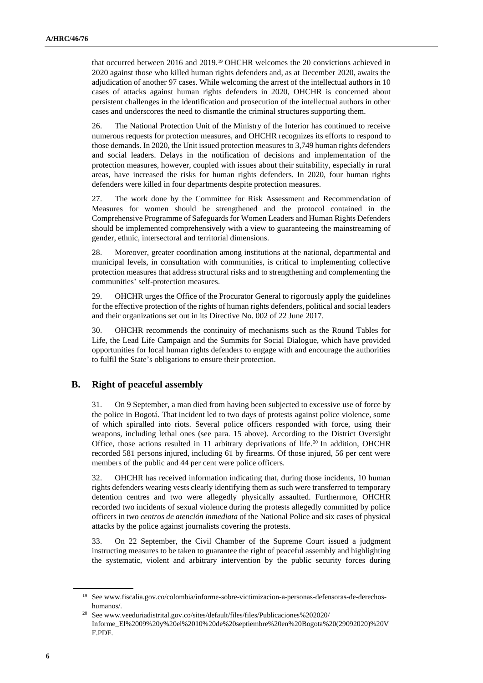that occurred between 2016 and 2019.<sup>19</sup> OHCHR welcomes the 20 convictions achieved in 2020 against those who killed human rights defenders and, as at December 2020, awaits the adjudication of another 97 cases. While welcoming the arrest of the intellectual authors in 10 cases of attacks against human rights defenders in 2020, OHCHR is concerned about persistent challenges in the identification and prosecution of the intellectual authors in other cases and underscores the need to dismantle the criminal structures supporting them.

26. The National Protection Unit of the Ministry of the Interior has continued to receive numerous requests for protection measures, and OHCHR recognizes its efforts to respond to those demands. In 2020, the Unit issued protection measures to 3,749 human rights defenders and social leaders. Delays in the notification of decisions and implementation of the protection measures, however, coupled with issues about their suitability, especially in rural areas, have increased the risks for human rights defenders. In 2020, four human rights defenders were killed in four departments despite protection measures.

27. The work done by the Committee for Risk Assessment and Recommendation of Measures for women should be strengthened and the protocol contained in the Comprehensive Programme of Safeguards for Women Leaders and Human Rights Defenders should be implemented comprehensively with a view to guaranteeing the mainstreaming of gender, ethnic, intersectoral and territorial dimensions.

28. Moreover, greater coordination among institutions at the national, departmental and municipal levels, in consultation with communities, is critical to implementing collective protection measures that address structural risks and to strengthening and complementing the communities' self-protection measures.

29. OHCHR urges the Office of the Procurator General to rigorously apply the guidelines for the effective protection of the rights of human rights defenders, political and social leaders and their organizations set out in its Directive No. 002 of 22 June 2017.

30. OHCHR recommends the continuity of mechanisms such as the Round Tables for Life, the Lead Life Campaign and the Summits for Social Dialogue, which have provided opportunities for local human rights defenders to engage with and encourage the authorities to fulfil the State's obligations to ensure their protection.

### **B. Right of peaceful assembly**

31. On 9 September, a man died from having been subjected to excessive use of force by the police in Bogotá. That incident led to two days of protests against police violence, some of which spiralled into riots. Several police officers responded with force, using their weapons, including lethal ones (see para. 15 above). According to the District Oversight Office, those actions resulted in 11 arbitrary deprivations of life.<sup>20</sup> In addition, OHCHR recorded 581 persons injured, including 61 by firearms. Of those injured, 56 per cent were members of the public and 44 per cent were police officers.

32. OHCHR has received information indicating that, during those incidents, 10 human rights defenders wearing vests clearly identifying them as such were transferred to temporary detention centres and two were allegedly physically assaulted. Furthermore, OHCHR recorded two incidents of sexual violence during the protests allegedly committed by police officers in two *centros de atención inmediata* of the National Police and six cases of physical attacks by the police against journalists covering the protests.

33. On 22 September, the Civil Chamber of the Supreme Court issued a judgment instructing measures to be taken to guarantee the right of peaceful assembly and highlighting the systematic, violent and arbitrary intervention by the public security forces during

<sup>19</sup> See www.fiscalia.gov.co/colombia/informe-sobre-victimizacion-a-personas-defensoras-de-derechoshumanos/.

<sup>20</sup> See www.veeduriadistrital.gov.co/sites/default/files/files/Publicaciones%202020/ Informe\_El%2009%20y%20el%2010%20de%20septiembre%20en%20Bogota%20(29092020)%20V F.PDF.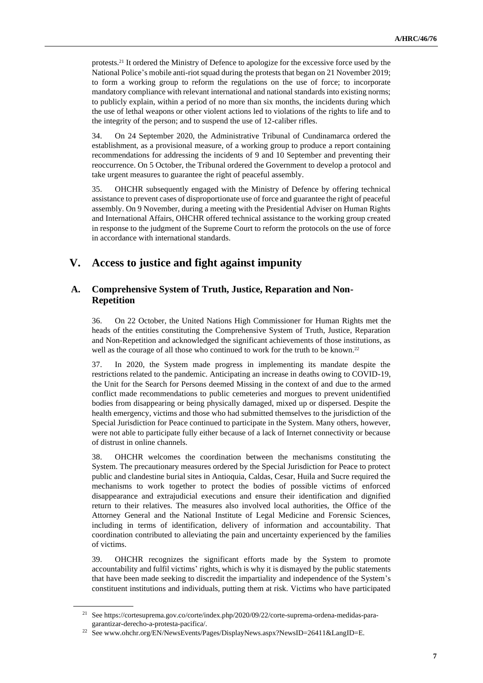protests.<sup>21</sup> It ordered the Ministry of Defence to apologize for the excessive force used by the National Police's mobile anti-riot squad during the protests that began on 21 November 2019; to form a working group to reform the regulations on the use of force; to incorporate mandatory compliance with relevant international and national standards into existing norms; to publicly explain, within a period of no more than six months, the incidents during which the use of lethal weapons or other violent actions led to violations of the rights to life and to the integrity of the person; and to suspend the use of 12-caliber rifles.

34. On 24 September 2020, the Administrative Tribunal of Cundinamarca ordered the establishment, as a provisional measure, of a working group to produce a report containing recommendations for addressing the incidents of 9 and 10 September and preventing their reoccurrence. On 5 October, the Tribunal ordered the Government to develop a protocol and take urgent measures to guarantee the right of peaceful assembly.

35. OHCHR subsequently engaged with the Ministry of Defence by offering technical assistance to prevent cases of disproportionate use of force and guarantee the right of peaceful assembly. On 9 November, during a meeting with the Presidential Adviser on Human Rights and International Affairs, OHCHR offered technical assistance to the working group created in response to the judgment of the Supreme Court to reform the protocols on the use of force in accordance with international standards.

# **V. Access to justice and fight against impunity**

### **A. Comprehensive System of Truth, Justice, Reparation and Non-Repetition**

36. On 22 October, the United Nations High Commissioner for Human Rights met the heads of the entities constituting the Comprehensive System of Truth, Justice, Reparation and Non-Repetition and acknowledged the significant achievements of those institutions, as well as the courage of all those who continued to work for the truth to be known.<sup>22</sup>

37. In 2020, the System made progress in implementing its mandate despite the restrictions related to the pandemic. Anticipating an increase in deaths owing to COVID-19, the Unit for the Search for Persons deemed Missing in the context of and due to the armed conflict made recommendations to public cemeteries and morgues to prevent unidentified bodies from disappearing or being physically damaged, mixed up or dispersed. Despite the health emergency, victims and those who had submitted themselves to the jurisdiction of the Special Jurisdiction for Peace continued to participate in the System. Many others, however, were not able to participate fully either because of a lack of Internet connectivity or because of distrust in online channels.

38. OHCHR welcomes the coordination between the mechanisms constituting the System. The precautionary measures ordered by the Special Jurisdiction for Peace to protect public and clandestine burial sites in Antioquia, Caldas, Cesar, Huila and Sucre required the mechanisms to work together to protect the bodies of possible victims of enforced disappearance and extrajudicial executions and ensure their identification and dignified return to their relatives. The measures also involved local authorities, the Office of the Attorney General and the National Institute of Legal Medicine and Forensic Sciences, including in terms of identification, delivery of information and accountability. That coordination contributed to alleviating the pain and uncertainty experienced by the families of victims.

39. OHCHR recognizes the significant efforts made by the System to promote accountability and fulfil victims' rights, which is why it is dismayed by the public statements that have been made seeking to discredit the impartiality and independence of the System's constituent institutions and individuals, putting them at risk. Victims who have participated

<sup>21</sup> See https://cortesuprema.gov.co/corte/index.php/2020/09/22/corte-suprema-ordena-medidas-paragarantizar-derecho-a-protesta-pacifica/.

<sup>22</sup> See www.ohchr.org/EN/NewsEvents/Pages/DisplayNews.aspx?NewsID=26411&LangID=E.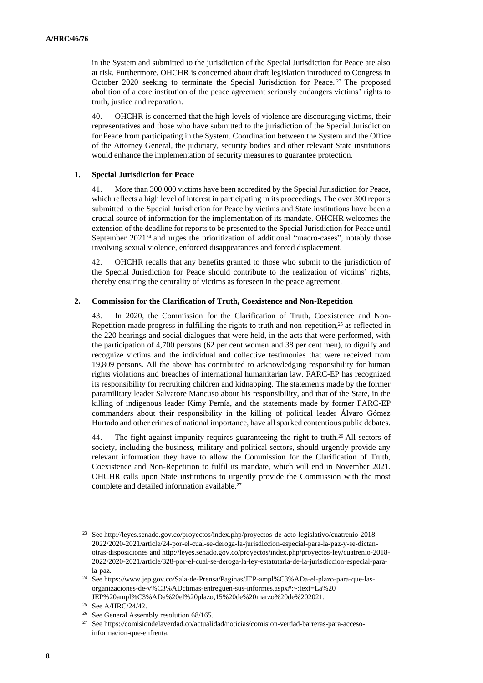in the System and submitted to the jurisdiction of the Special Jurisdiction for Peace are also at risk. Furthermore, OHCHR is concerned about draft legislation introduced to Congress in October 2020 seeking to terminate the Special Jurisdiction for Peace.<sup>23</sup> The proposed abolition of a core institution of the peace agreement seriously endangers victims' rights to truth, justice and reparation.

40. OHCHR is concerned that the high levels of violence are discouraging victims, their representatives and those who have submitted to the jurisdiction of the Special Jurisdiction for Peace from participating in the System. Coordination between the System and the Office of the Attorney General, the judiciary, security bodies and other relevant State institutions would enhance the implementation of security measures to guarantee protection.

#### **1. Special Jurisdiction for Peace**

41. More than 300,000 victims have been accredited by the Special Jurisdiction for Peace, which reflects a high level of interest in participating in its proceedings. The over 300 reports submitted to the Special Jurisdiction for Peace by victims and State institutions have been a crucial source of information for the implementation of its mandate. OHCHR welcomes the extension of the deadline for reports to be presented to the Special Jurisdiction for Peace until September 2021<sup>24</sup> and urges the prioritization of additional "macro-cases", notably those involving sexual violence, enforced disappearances and forced displacement.

42. OHCHR recalls that any benefits granted to those who submit to the jurisdiction of the Special Jurisdiction for Peace should contribute to the realization of victims' rights, thereby ensuring the centrality of victims as foreseen in the peace agreement.

#### **2. Commission for the Clarification of Truth, Coexistence and Non-Repetition**

43. In 2020, the Commission for the Clarification of Truth, Coexistence and Non-Repetition made progress in fulfilling the rights to truth and non-repetition,<sup>25</sup> as reflected in the 220 hearings and social dialogues that were held, in the acts that were performed, with the participation of 4,700 persons (62 per cent women and 38 per cent men), to dignify and recognize victims and the individual and collective testimonies that were received from 19,809 persons. All the above has contributed to acknowledging responsibility for human rights violations and breaches of international humanitarian law. FARC-EP has recognized its responsibility for recruiting children and kidnapping. The statements made by the former paramilitary leader Salvatore Mancuso about his responsibility, and that of the State, in the killing of indigenous leader Kimy Pernía, and the statements made by former FARC-EP commanders about their responsibility in the killing of political leader Álvaro Gómez Hurtado and other crimes of national importance, have all sparked contentious public debates.

44. The fight against impunity requires guaranteeing the right to truth.<sup>26</sup> All sectors of society, including the business, military and political sectors, should urgently provide any relevant information they have to allow the Commission for the Clarification of Truth, Coexistence and Non-Repetition to fulfil its mandate, which will end in November 2021. OHCHR calls upon State institutions to urgently provide the Commission with the most complete and detailed information available.<sup>27</sup>

<sup>23</sup> See http://leyes.senado.gov.co/proyectos/index.php/proyectos-de-acto-legislativo/cuatrenio-2018- 2022/2020-2021/article/24-por-el-cual-se-deroga-la-jurisdiccion-especial-para-la-paz-y-se-dictanotras-disposiciones and http://leyes.senado.gov.co/proyectos/index.php/proyectos-ley/cuatrenio-2018- 2022/2020-2021/article/328-por-el-cual-se-deroga-la-ley-estatutaria-de-la-jurisdiccion-especial-parala-paz.

<sup>24</sup> See https://www.jep.gov.co/Sala-de-Prensa/Paginas/JEP-ampl%C3%ADa-el-plazo-para-que-lasorganizaciones-de-v%C3%ADctimas-entreguen-sus-informes.aspx#:~:text=La%20 JEP%20ampl%C3%ADa%20el%20plazo,15%20de%20marzo%20de%202021.

<sup>25</sup> See A/HRC/24/42.

<sup>&</sup>lt;sup>26</sup> See General Assembly resolution 68/165.

<sup>27</sup> See https://comisiondelaverdad.co/actualidad/noticias/comision-verdad-barreras-para-accesoinformacion-que-enfrenta.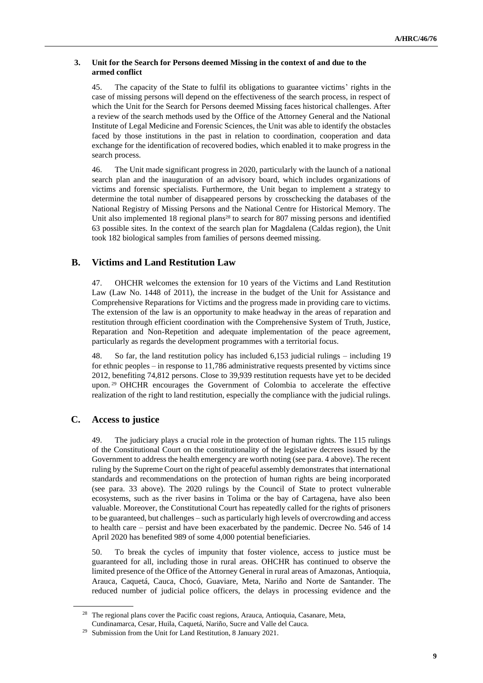### **3. Unit for the Search for Persons deemed Missing in the context of and due to the armed conflict**

45. The capacity of the State to fulfil its obligations to guarantee victims' rights in the case of missing persons will depend on the effectiveness of the search process, in respect of which the Unit for the Search for Persons deemed Missing faces historical challenges. After a review of the search methods used by the Office of the Attorney General and the National Institute of Legal Medicine and Forensic Sciences, the Unit was able to identify the obstacles faced by those institutions in the past in relation to coordination, cooperation and data exchange for the identification of recovered bodies, which enabled it to make progress in the search process.

46. The Unit made significant progress in 2020, particularly with the launch of a national search plan and the inauguration of an advisory board, which includes organizations of victims and forensic specialists. Furthermore, the Unit began to implement a strategy to determine the total number of disappeared persons by crosschecking the databases of the National Registry of Missing Persons and the National Centre for Historical Memory. The Unit also implemented 18 regional plans<sup>28</sup> to search for 807 missing persons and identified 63 possible sites. In the context of the search plan for Magdalena (Caldas region), the Unit took 182 biological samples from families of persons deemed missing.

# **B. Victims and Land Restitution Law**

47. OHCHR welcomes the extension for 10 years of the Victims and Land Restitution Law (Law No. 1448 of 2011), the increase in the budget of the Unit for Assistance and Comprehensive Reparations for Victims and the progress made in providing care to victims. The extension of the law is an opportunity to make headway in the areas of reparation and restitution through efficient coordination with the Comprehensive System of Truth, Justice, Reparation and Non-Repetition and adequate implementation of the peace agreement, particularly as regards the development programmes with a territorial focus.

48. So far, the land restitution policy has included 6,153 judicial rulings – including 19 for ethnic peoples – in response to 11,786 administrative requests presented by victims since 2012, benefiting 74,812 persons. Close to 39,939 restitution requests have yet to be decided upon.<sup>29</sup> OHCHR encourages the Government of Colombia to accelerate the effective realization of the right to land restitution, especially the compliance with the judicial rulings.

### **C. Access to justice**

49. The judiciary plays a crucial role in the protection of human rights. The 115 rulings of the Constitutional Court on the constitutionality of the legislative decrees issued by the Government to address the health emergency are worth noting (see para. 4 above). The recent ruling by the Supreme Court on the right of peaceful assembly demonstrates that international standards and recommendations on the protection of human rights are being incorporated (see para. 33 above). The 2020 rulings by the Council of State to protect vulnerable ecosystems, such as the river basins in Tolima or the bay of Cartagena, have also been valuable. Moreover, the Constitutional Court has repeatedly called for the rights of prisoners to be guaranteed, but challenges – such as particularly high levels of overcrowding and access to health care – persist and have been exacerbated by the pandemic. Decree No. 546 of 14 April 2020 has benefited 989 of some 4,000 potential beneficiaries.

50. To break the cycles of impunity that foster violence, access to justice must be guaranteed for all, including those in rural areas. OHCHR has continued to observe the limited presence of the Office of the Attorney General in rural areas of Amazonas, Antioquia, Arauca, Caquetá, Cauca, Chocó, Guaviare, Meta, Nariño and Norte de Santander. The reduced number of judicial police officers, the delays in processing evidence and the

<sup>&</sup>lt;sup>28</sup> The regional plans cover the Pacific coast regions, Arauca, Antioquia, Casanare, Meta, Cundinamarca, Cesar, Huila, Caquetá, Nariño, Sucre and Valle del Cauca.

<sup>29</sup> Submission from the Unit for Land Restitution, 8 January 2021.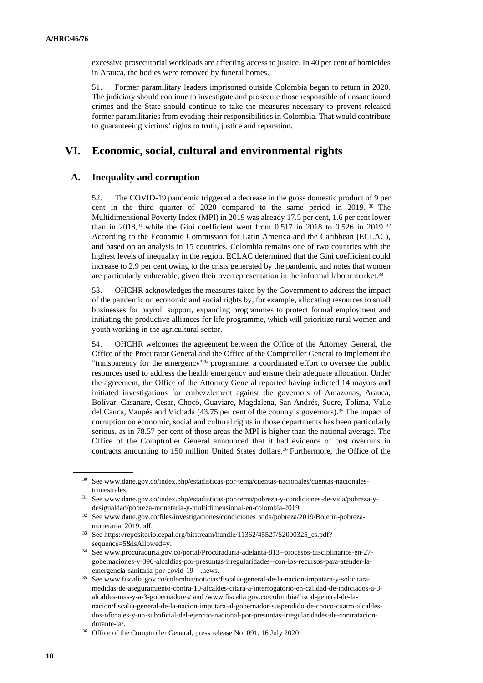excessive prosecutorial workloads are affecting access to justice. In 40 per cent of homicides in Arauca, the bodies were removed by funeral homes.

51. Former paramilitary leaders imprisoned outside Colombia began to return in 2020. The judiciary should continue to investigate and prosecute those responsible of unsanctioned crimes and the State should continue to take the measures necessary to prevent released former paramilitaries from evading their responsibilities in Colombia. That would contribute to guaranteeing victims' rights to truth, justice and reparation.

## **VI. Economic, social, cultural and environmental rights**

### **A. Inequality and corruption**

52. The COVID-19 pandemic triggered a decrease in the gross domestic product of 9 per cent in the third quarter of 2020 compared to the same period in 2019. <sup>30</sup> The Multidimensional Poverty Index (MPI) in 2019 was already 17.5 per cent, 1.6 per cent lower than in 2018,<sup>31</sup> while the Gini coefficient went from 0.517 in 2018 to 0.526 in 2019.<sup>32</sup> According to the Economic Commission for Latin America and the Caribbean (ECLAC), and based on an analysis in 15 countries, Colombia remains one of two countries with the highest levels of inequality in the region. ECLAC determined that the Gini coefficient could increase to 2.9 per cent owing to the crisis generated by the pandemic and notes that women are particularly vulnerable, given their overrepresentation in the informal labour market.<sup>33</sup>

53. OHCHR acknowledges the measures taken by the Government to address the impact of the pandemic on economic and social rights by, for example, allocating resources to small businesses for payroll support, expanding programmes to protect formal employment and initiating the productive alliances for life programme, which will prioritize rural women and youth working in the agricultural sector.

54. OHCHR welcomes the agreement between the Office of the Attorney General, the Office of the Procurator General and the Office of the Comptroller General to implement the "transparency for the emergency" <sup>34</sup> programme, a coordinated effort to oversee the public resources used to address the health emergency and ensure their adequate allocation. Under the agreement, the Office of the Attorney General reported having indicted 14 mayors and initiated investigations for embezzlement against the governors of Amazonas, Arauca, Bolívar, Casanare, Cesar, Chocó, Guaviare, Magdalena, San Andrés, Sucre, Tolima, Valle del Cauca, Vaupés and Vichada (43.75 per cent of the country's governors).<sup>35</sup> The impact of corruption on economic, social and cultural rights in those departments has been particularly serious, as in 78.57 per cent of those areas the MPI is higher than the national average. The Office of the Comptroller General announced that it had evidence of cost overruns in contracts amounting to 150 million United States dollars.<sup>36</sup> Furthermore, the Office of the

<sup>30</sup> See www.dane.gov.co/index.php/estadisticas-por-tema/cuentas-nacionales/cuentas-nacionalestrimestrales.

<sup>31</sup> See www.dane.gov.co/index.php/estadisticas-por-tema/pobreza-y-condiciones-de-vida/pobreza-ydesigualdad/pobreza-monetaria-y-multidimensional-en-colombia-2019.

<sup>32</sup> See www.dane.gov.co/files/investigaciones/condiciones\_vida/pobreza/2019/Boletin-pobrezamonetaria\_2019.pdf.

<sup>33</sup> See [https://repositorio.cepal.org/bitstream/handle/11362/45527/S2000325\\_es.pdf?](https://repositorio.cepal.org/bitstream/handle/11362/45527/S2000325_es.pdf?sequence=5&isAllowed=y) [sequence=5&isAllowed=y.](https://repositorio.cepal.org/bitstream/handle/11362/45527/S2000325_es.pdf?sequence=5&isAllowed=y)

<sup>34</sup> See www.procuraduria.gov.co/portal/Procuraduria-adelanta-813--procesos-disciplinarios-en-27 gobernaciones-y-396-alcaldias-por-presuntas-irregularidades--con-los-recursos-para-atender-laemergencia-sanitaria-por-covid-19---.news.

<sup>35</sup> See www.fiscalia.gov.co/colombia/noticias/fiscalia-general-de-la-nacion-imputara-y-solicitaramedidas-de-aseguramiento-contra-10-alcaldes-citara-a-interrogatorio-en-calidad-de-indiciados-a-3 alcaldes-mas-y-a-3-gobernadores/ and /www.fiscalia.gov.co/colombia/fiscal-general-de-lanacion/fiscalia-general-de-la-nacion-imputara-al-gobernador-suspendido-de-choco-cuatro-alcaldesdos-oficiales-y-un-suboficial-del-ejercito-nacional-por-presuntas-irregularidades-de-contrataciondurante-la/.

<sup>36</sup> [Office](http://office/) of the Comptroller General, press release No. 091, 16 July 2020.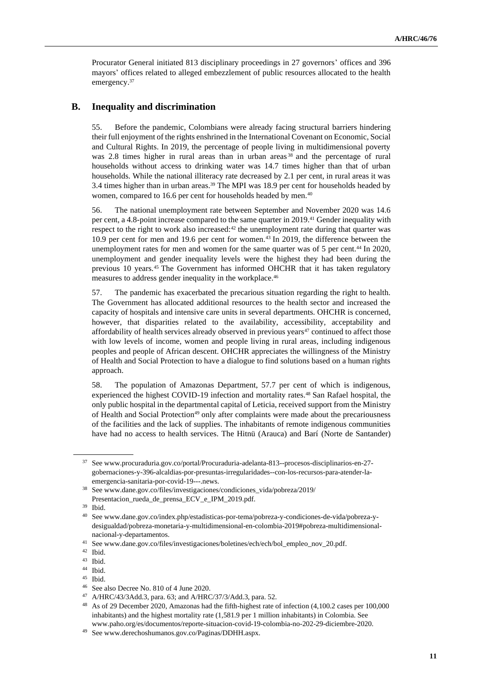Procurator General initiated 813 disciplinary proceedings in 27 governors' offices and 396 mayors' offices related to alleged embezzlement of public resources allocated to the health emergency.<sup>37</sup>

#### **B. Inequality and discrimination**

55. Before the pandemic, Colombians were already facing structural barriers hindering their full enjoyment of the rights enshrined in the International Covenant on Economic, Social and Cultural Rights. In 2019, the percentage of people living in multidimensional poverty was 2.8 times higher in rural areas than in urban areas <sup>38</sup> and the percentage of rural households without access to drinking water was 14.7 times higher than that of urban households. While the national illiteracy rate decreased by 2.1 per cent, in rural areas it was 3.4 times higher than in urban areas.<sup>39</sup> The MPI was 18.9 per cent for households headed by women, compared to 16.6 per cent for households headed by men.<sup>40</sup>

56. The national unemployment rate between September and November 2020 was 14.6 per cent, a 4.8-point increase compared to the same quarter in 2019.<sup>41</sup> Gender inequality with respect to the right to work also increased: $42$  the unemployment rate during that quarter was 10.9 per cent for men and 19.6 per cent for women.<sup>43</sup> In 2019, the difference between the unemployment rates for men and women for the same quarter was of 5 per cent.<sup>44</sup> In 2020, unemployment and gender inequality levels were the highest they had been during the previous 10 years.<sup>45</sup> The Government has informed OHCHR that it has taken regulatory measures to address gender inequality in the workplace.<sup>46</sup>

57. The pandemic has exacerbated the precarious situation regarding the right to health. The Government has allocated additional resources to the health sector and increased the capacity of hospitals and intensive care units in several departments. OHCHR is concerned, however, that disparities related to the availability, accessibility, acceptability and affordability of health services already observed in previous years<sup>47</sup> continued to affect those with low levels of income, women and people living in rural areas, including indigenous peoples and people of African descent. OHCHR appreciates the willingness of the Ministry of Health and Social Protection to have a dialogue to find solutions based on a human rights approach.

58. The population of Amazonas Department, 57.7 per cent of which is indigenous, experienced the highest COVID-19 infection and mortality rates.<sup>48</sup> San Rafael hospital, the only public hospital in the departmental capital of Leticia, received support from the Ministry of Health and Social Protection<sup>49</sup> only after complaints were made about the precariousness of the facilities and the lack of supplies. The inhabitants of remote indigenous communities have had no access to health services. The Hitnü (Arauca) and Barí (Norte de Santander)

<sup>37</sup> See www.procuraduria.gov.co/portal/Procuraduria-adelanta-813--procesos-disciplinarios-en-27 gobernaciones-y-396-alcaldias-por-presuntas-irregularidades--con-los-recursos-para-atender-laemergencia-sanitaria-por-covid-19---.news.

<sup>38</sup> See www.dane.gov.co/files/investigaciones/condiciones\_vida/pobreza/2019/ Presentacion\_rueda\_de\_prensa\_ECV\_e\_IPM\_2019.pdf.

<sup>39</sup> Ibid.

<sup>40</sup> Se[e www.dane.gov.co/index.php/estadisticas-por-tema/pobreza-y-condiciones-de-vida/pobreza-y](http://www.dane.gov.co/index.php/estadisticas-por-tema/pobreza-y-condiciones-de-vida/pobreza-y-desigualdad/pobreza-monetaria-y-multidimensional-en-colombia-2019#pobreza-multidimensional-nacional-y-departamentos)[desigualdad/pobreza-monetaria-y-multidimensional-en-colombia-2019#pobreza-multidimensional](http://www.dane.gov.co/index.php/estadisticas-por-tema/pobreza-y-condiciones-de-vida/pobreza-y-desigualdad/pobreza-monetaria-y-multidimensional-en-colombia-2019#pobreza-multidimensional-nacional-y-departamentos)[nacional-y-departamentos.](http://www.dane.gov.co/index.php/estadisticas-por-tema/pobreza-y-condiciones-de-vida/pobreza-y-desigualdad/pobreza-monetaria-y-multidimensional-en-colombia-2019#pobreza-multidimensional-nacional-y-departamentos)

<sup>41</sup> See www.dane.gov.co/files/investigaciones/boletines/ech/ech/bol\_empleo\_nov\_20.pdf.

 $^{42}$  Ibid.<br> $^{43}$  Ibid.

Ibid.

<sup>44</sup> Ibid.

<sup>45</sup> Ibid.

<sup>46</sup> See also Decree No. 810 of 4 June 2020.

<sup>47</sup> A/HRC/43/3Add.3, para. 63; and A/HRC/37/3/Add.3, para. 52.

<sup>48</sup> As of 29 December 2020, Amazonas had the fifth-highest rate of infection (4,100.2 cases per 100,000 inhabitants) and the highest mortality rate (1,581.9 per 1 million inhabitants) in Colombia. See www.paho.org/es/documentos/reporte-situacion-covid-19-colombia-no-202-29-diciembre-2020.

<sup>49</sup> See www.derechoshumanos.gov.co/Paginas/DDHH.aspx.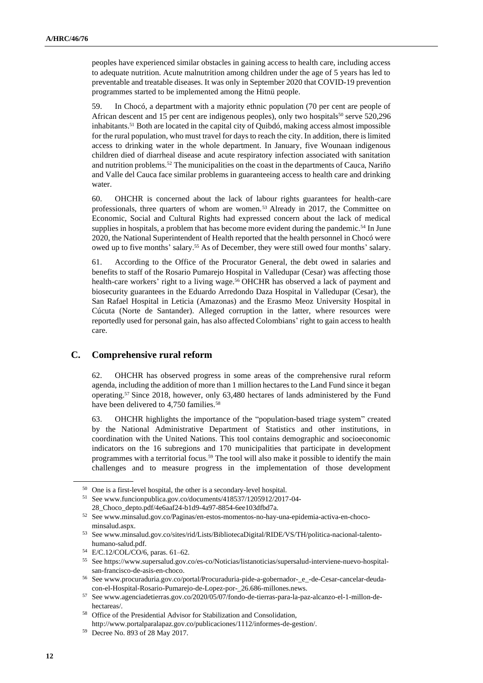peoples have experienced similar obstacles in gaining access to health care, including access to adequate nutrition. Acute malnutrition among children under the age of 5 years has led to preventable and treatable diseases. It was only in September 2020 that COVID-19 prevention programmes started to be implemented among the Hitnü people.

59. In Chocó, a department with a majority ethnic population (70 per cent are people of African descent and 15 per cent are indigenous peoples), only two hospitals<sup>50</sup> serve  $520,296$ inhabitants.<sup>51</sup> Both are located in the capital city of Quibdó, making access almost impossible for the rural population, who must travel for days to reach the city. In addition, there is limited access to drinking water in the whole department. In January, five Wounaan indigenous children died of diarrheal disease and acute respiratory infection associated with sanitation and nutrition problems.<sup>52</sup> The municipalities on the coast in the departments of Cauca, Nariño and Valle del Cauca face similar problems in guaranteeing access to health care and drinking water.

60. OHCHR is concerned about the lack of labour rights guarantees for health-care professionals, three quarters of whom are women.<sup>53</sup> Already in 2017, the Committee on Economic, Social and Cultural Rights had expressed concern about the lack of medical supplies in hospitals, a problem that has become more evident during the pandemic.<sup>54</sup> In June 2020, the National Superintendent of Health reported that the health personnel in Chocó were owed up to five months' salary.<sup>55</sup> As of December, they were still owed four months' salary.

61. According to the Office of the Procurator General, the debt owed in salaries and benefits to staff of the Rosario Pumarejo Hospital in Valledupar (Cesar) was affecting those health-care workers' right to a living wage.<sup>56</sup> OHCHR has observed a lack of payment and biosecurity guarantees in the Eduardo Arredondo Daza Hospital in Valledupar (Cesar), the San Rafael Hospital in Leticia (Amazonas) and the Erasmo Meoz University Hospital in Cúcuta (Norte de Santander). Alleged corruption in the latter, where resources were reportedly used for personal gain, has also affected Colombians' right to gain access to health care.

### **C. Comprehensive rural reform**

62. OHCHR has observed progress in some areas of the comprehensive rural reform agenda, including the addition of more than 1 million hectares to the Land Fund since it began operating.<sup>57</sup> Since 2018, however, only 63,480 hectares of lands administered by the Fund have been delivered to 4,750 families.<sup>58</sup>

63. OHCHR highlights the importance of the "population-based triage system" created by the National Administrative Department of Statistics and other institutions, in coordination with the United Nations. This tool contains demographic and socioeconomic indicators on the 16 subregions and 170 municipalities that participate in development programmes with a territorial focus.<sup>59</sup> The tool will also make it possible to identify the main challenges and to measure progress in the implementation of those development

<sup>50</sup> One is a first-level hospital, the other is a secondary-level hospital.

<sup>51</sup> See www.funcionpublica.gov.co/documents/418537/1205912/2017-04- 28\_Choco\_depto.pdf/4e6aaf24-b1d9-4a97-8854-6ee103dfbd7a.

<sup>52</sup> See www.minsalud.gov.co/Paginas/en-estos-momentos-no-hay-una-epidemia-activa-en-chocominsalud.aspx.

<sup>53</sup> See www.minsalud.gov.co/sites/rid/Lists/BibliotecaDigital/RIDE/VS/TH/politica-nacional-talentohumano-salud.pdf.

<sup>54</sup> E/C.12/COL/CO/6, paras. 61–62.

<sup>55</sup> See https://www.supersalud.gov.co/es-co/Noticias/listanoticias/supersalud-interviene-nuevo-hospitalsan-francisco-de-asis-en-choco.

<sup>56</sup> See www.procuraduria.gov.co/portal/Procuraduria-pide-a-gobernador-\_e\_-de-Cesar-cancelar-deudacon-el-Hospital-Rosario-Pumarejo-de-Lopez-por-\_26.686-millones.news.

<sup>57</sup> See www.agenciadetierras.gov.co/2020/05/07/fondo-de-tierras-para-la-paz-alcanzo-el-1-millon-dehectareas/.

<sup>58</sup> Office of the Presidential Advisor for Stabilization and Consolidation, http://www.portalparalapaz.gov.co/publicaciones/1112/informes-de-gestion/.

<sup>59</sup> Decree No. 893 of 28 May 2017.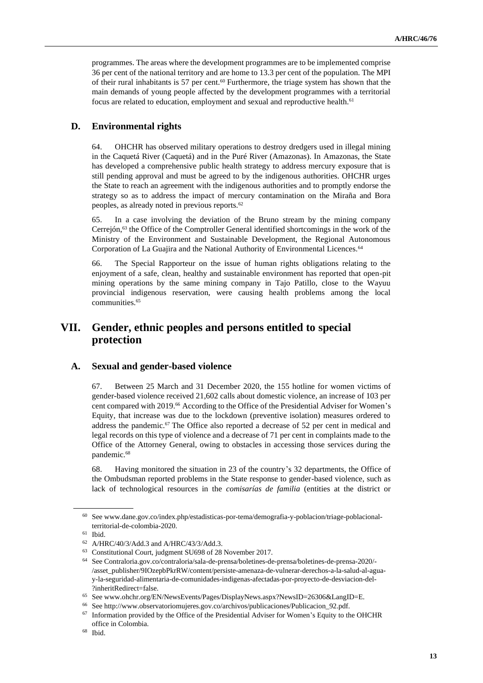programmes. The areas where the development programmes are to be implemented comprise 36 per cent of the national territory and are home to 13.3 per cent of the population. The MPI of their rural inhabitants is 57 per cent.<sup>60</sup> Furthermore, the triage system has shown that the main demands of young people affected by the development programmes with a territorial focus are related to education, employment and sexual and reproductive health.<sup>61</sup>

### **D. Environmental rights**

64. OHCHR has observed military operations to destroy dredgers used in illegal mining in the Caquetá River (Caquetá) and in the Puré River (Amazonas). In Amazonas, the State has developed a comprehensive public health strategy to address mercury exposure that is still pending approval and must be agreed to by the indigenous authorities. OHCHR urges the State to reach an agreement with the indigenous authorities and to promptly endorse the strategy so as to address the impact of mercury contamination on the Miraña and Bora peoples, as already noted in previous reports.<sup>62</sup>

65. In a case involving the deviation of the Bruno stream by the mining company Cerrejón,<sup>63</sup> the Office of the Comptroller General identified shortcomings in the work of the Ministry of the Environment and Sustainable Development, the Regional Autonomous Corporation of La Guajira and the National Authority of Environmental Licences.<sup>64</sup>

66. The Special Rapporteur on the issue of human rights obligations relating to the enjoyment of a safe, clean, healthy and sustainable environment has reported that open-pit mining operations by the same mining company in Tajo Patillo, close to the Wayuu provincial indigenous reservation, were causing health problems among the local communities.<sup>65</sup>

# **VII. Gender, ethnic peoples and persons entitled to special protection**

#### **A. Sexual and gender-based violence**

67. Between 25 March and 31 December 2020, the 155 hotline for women victims of gender-based violence received 21,602 calls about domestic violence, an increase of 103 per cent compared with 2019.<sup>66</sup> According to the Office of the Presidential Adviser for Women's Equity, that increase was due to the lockdown (preventive isolation) measures ordered to address the pandemic.<sup>67</sup> The Office also reported a decrease of 52 per cent in medical and legal records on this type of violence and a decrease of 71 per cent in complaints made to the Office of the Attorney General, owing to obstacles in accessing those services during the pandemic.<sup>68</sup>

68. Having monitored the situation in 23 of the country's 32 departments, the Office of the Ombudsman reported problems in the State response to gender-based violence, such as lack of technological resources in the *comisarías de familia* (entities at the district or

<sup>60</sup> See www.dane.gov.co/index.php/estadisticas-por-tema/demografia-y-poblacion/triage-poblacionalterritorial-de-colombia-2020.

<sup>61</sup> Ibid.

<sup>62</sup> A/HRC/40/3/Add.3 and A/HRC/43/3/Add.3.

<sup>63</sup> Constitutional Court, judgment SU698 of 28 November 2017.

<sup>64</sup> See Contraloria.gov.co/contraloria/sala-de-prensa/boletines-de-prensa/boletines-de-prensa-2020/- /asset\_publisher/9IOzepbPkrRW/content/persiste-amenaza-de-vulnerar-derechos-a-la-salud-al-aguay-la-seguridad-alimentaria-de-comunidades-indigenas-afectadas-por-proyecto-de-desviacion-del- ?inheritRedirect=false.

<sup>65</sup> See www.ohchr.org/EN/NewsEvents/Pages/DisplayNews.aspx?NewsID=26306&LangID=E.

See http://www.observatoriomujeres.gov.co/archivos/publicaciones/Publicacion\_92.pdf.

<sup>&</sup>lt;sup>67</sup> Information provided by the Office of the Presidential Adviser for Women's Equity to the OHCHR office in Colombia.

<sup>68</sup> Ibid.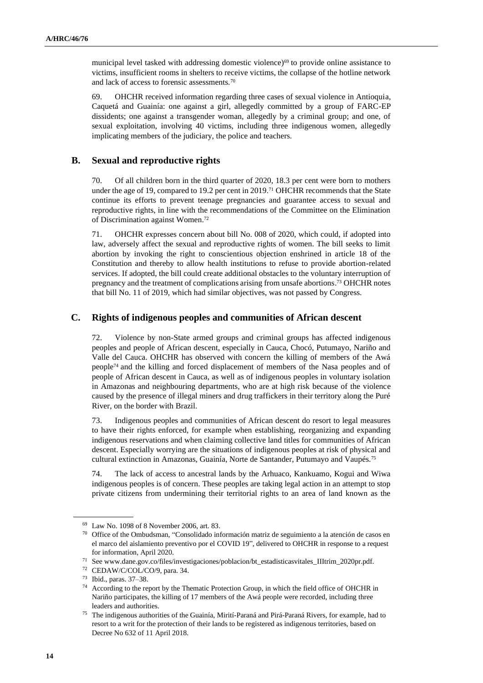municipal level tasked with addressing domestic violence)<sup>69</sup> to provide online assistance to victims, insufficient rooms in shelters to receive victims, the collapse of the hotline network and lack of access to forensic assessments.<sup>70</sup>

69. OHCHR received information regarding three cases of sexual violence in Antioquia, Caquetá and Guainía: one against a girl, allegedly committed by a group of FARC-EP dissidents; one against a transgender woman, allegedly by a criminal group; and one, of sexual exploitation, involving 40 victims, including three indigenous women, allegedly implicating members of the judiciary, the police and teachers.

### **B. Sexual and reproductive rights**

70. Of all children born in the third quarter of 2020, 18.3 per cent were born to mothers under the age of 19, compared to 19.2 per cent in 2019.<sup>71</sup> OHCHR recommends that the State continue its efforts to prevent teenage pregnancies and guarantee access to sexual and reproductive rights, in line with the recommendations of the Committee on the Elimination of Discrimination against Women.<sup>72</sup>

71. OHCHR expresses concern about bill No. 008 of 2020, which could, if adopted into law, adversely affect the sexual and reproductive rights of women. The bill seeks to limit abortion by invoking the right to conscientious objection enshrined in article 18 of the Constitution and thereby to allow health institutions to refuse to provide abortion-related services. If adopted, the bill could create additional obstacles to the voluntary interruption of pregnancy and the treatment of complications arising from unsafe abortions. <sup>73</sup> OHCHR notes that bill No. 11 of 2019, which had similar objectives, was not passed by Congress.

### **C. Rights of indigenous peoples and communities of African descent**

72. Violence by non-State armed groups and criminal groups has affected indigenous peoples and people of African descent, especially in Cauca, Chocó, Putumayo, Nariño and Valle del Cauca. OHCHR has observed with concern the killing of members of the Awá people<sup>74</sup> and the killing and forced displacement of members of the Nasa peoples and of people of African descent in Cauca, as well as of indigenous peoples in voluntary isolation in Amazonas and neighbouring departments, who are at high risk because of the violence caused by the presence of illegal miners and drug traffickers in their territory along the Puré River, on the border with Brazil.

73. Indigenous peoples and communities of African descent do resort to legal measures to have their rights enforced, for example when establishing, reorganizing and expanding indigenous reservations and when claiming collective land titles for communities of African descent. Especially worrying are the situations of indigenous peoples at risk of physical and cultural extinction in Amazonas, Guainía, Norte de Santander, Putumayo and Vaupés.<sup>75</sup>

74. The lack of access to ancestral lands by the Arhuaco, Kankuamo, Kogui and Wiwa indigenous peoples is of concern. These peoples are taking legal action in an attempt to stop private citizens from undermining their territorial rights to an area of land known as the

<sup>69</sup> Law No. 1098 of 8 November 2006, art. 83.

<sup>70</sup> Office of the Ombudsman, "Consolidado información matriz de seguimiento a la atención de casos en el marco del aislamiento preventivo por el COVID 19", delivered to OHCHR in response to a request for information, April 2020.

 $^{71}\,$  See www.dane.gov.co/files/investigaciones/poblacion/bt\_estadisticasvitales\_IIItrim\_2020pr.pdf.

<sup>72</sup> CEDAW/C/COL/CO/9, para. 34.

<sup>73</sup> Ibid., paras. 37–38.

<sup>&</sup>lt;sup>74</sup> According to the report by the Thematic Protection Group, in which the field office of OHCHR in Nariño participates, the killing of 17 members of the Awá people were recorded, including three leaders and authorities.

<sup>75</sup> The indigenous authorities of the Guainía, Mirití-Paraná and Pirá-Paraná Rivers, for example, had to resort to a writ for the protection of their lands to be registered as indigenous territories, based on Decree No 632 of 11 April 2018.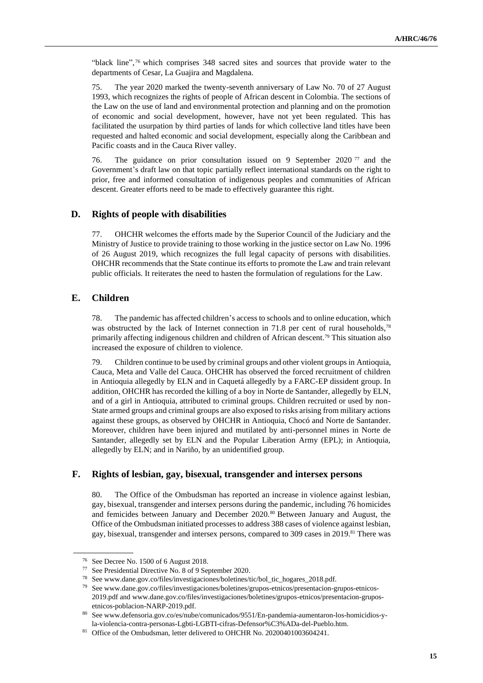"black line", <sup>76</sup> which comprises 348 sacred sites and sources that provide water to the departments of Cesar, La Guajira and Magdalena.

75. The year 2020 marked the twenty-seventh anniversary of Law No. 70 of 27 August 1993, which recognizes the rights of people of African descent in Colombia. The sections of the Law on the use of land and environmental protection and planning and on the promotion of economic and social development, however, have not yet been regulated. This has facilitated the usurpation by third parties of lands for which collective land titles have been requested and halted economic and social development, especially along the Caribbean and Pacific coasts and in the Cauca River valley.

76. The guidance on prior consultation issued on 9 September 2020 <sup>77</sup> and the Government's draft law on that topic partially reflect international standards on the right to prior, free and informed consultation of indigenous peoples and communities of African descent. Greater efforts need to be made to effectively guarantee this right.

#### **D. Rights of people with disabilities**

77. OHCHR welcomes the efforts made by the Superior Council of the Judiciary and the Ministry of Justice to provide training to those working in the justice sector on Law No. 1996 of 26 August 2019, which recognizes the full legal capacity of persons with disabilities. OHCHR recommends that the State continue its efforts to promote the Law and train relevant public officials. It reiterates the need to hasten the formulation of regulations for the Law.

### **E. Children**

78. The pandemic has affected children's access to schools and to online education, which was obstructed by the lack of Internet connection in 71.8 per cent of rural households,<sup>78</sup> primarily affecting indigenous children and children of African descent.<sup>79</sup> This situation also increased the exposure of children to violence.

79. Children continue to be used by criminal groups and other violent groups in Antioquia, Cauca, Meta and Valle del Cauca. OHCHR has observed the forced recruitment of children in Antioquia allegedly by ELN and in Caquetá allegedly by a FARC-EP dissident group. In addition, OHCHR has recorded the killing of a boy in Norte de Santander, allegedly by ELN, and of a girl in Antioquia, attributed to criminal groups. Children recruited or used by non-State armed groups and criminal groups are also exposed to risks arising from military actions against these groups, as observed by OHCHR in Antioquia, Chocó and Norte de Santander. Moreover, children have been injured and mutilated by anti-personnel mines in Norte de Santander, allegedly set by ELN and the Popular Liberation Army (EPL); in Antioquia, allegedly by ELN; and in Nariño, by an unidentified group.

### **F. Rights of lesbian, gay, bisexual, transgender and intersex persons**

80. The Office of the Ombudsman has reported an increase in violence against lesbian, gay, bisexual, transgender and intersex persons during the pandemic, including 76 homicides and femicides between January and December 2020.<sup>80</sup> Between January and August, the Office of the Ombudsman initiated processes to address 388 cases of violence against lesbian, gay, bisexual, transgender and intersex persons, compared to 309 cases in 2019.<sup>81</sup> There was

<sup>76</sup> See Decree No. 1500 of 6 August 2018.

<sup>77</sup> See Presidential Directive No. 8 of 9 September 2020.

<sup>78</sup> See www.dane.gov.co/files/investigaciones/boletines/tic/bol\_tic\_hogares\_2018.pdf.

<sup>79</sup> See www.dane.gov.co/files/investigaciones/boletines/grupos-etnicos/presentacion-grupos-etnicos-2019.pdf and www.dane.gov.co/files/investigaciones/boletines/grupos-etnicos/presentacion-gruposetnicos-poblacion-NARP-2019.pdf.

<sup>80</sup> See www.defensoria.gov.co/es/nube/comunicados/9551/En-pandemia-aumentaron-los-homicidios-yla-violencia-contra-personas-Lgbti-LGBTI-cifras-Defensor%C3%ADa-del-Pueblo.htm.

<sup>&</sup>lt;sup>81</sup> Office of the Ombudsman, letter delivered to OHCHR No. 20200401003604241.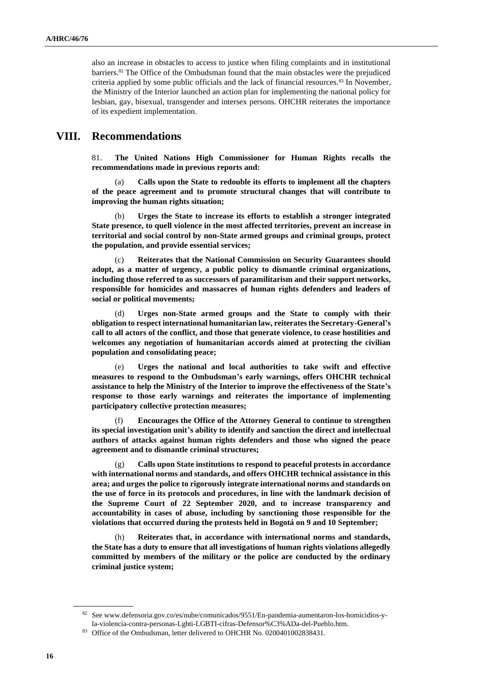also an increase in obstacles to access to justice when filing complaints and in institutional barriers. $82$  The Office of the Ombudsman found that the main obstacles were the prejudiced criteria applied by some public officials and the lack of financial resources.<sup>83</sup> In November, the Ministry of the Interior launched an action plan for implementing the national policy for lesbian, gay, bisexual, transgender and intersex persons. OHCHR reiterates the importance of its expedient implementation.

### **VIII. Recommendations**

81. **The United Nations High Commissioner for Human Rights recalls the recommendations made in previous reports and:**

(a) **Calls upon the State to redouble its efforts to implement all the chapters of the peace agreement and to promote structural changes that will contribute to improving the human rights situation;**

(b) **Urges the State to increase its efforts to establish a stronger integrated State presence, to quell violence in the most affected territories, prevent an increase in territorial and social control by non-State armed groups and criminal groups, protect the population, and provide essential services;**

(c) **Reiterates that the National Commission on Security Guarantees should adopt, as a matter of urgency, a public policy to dismantle criminal organizations, including those referred to as successors of paramilitarism and their support networks, responsible for homicides and massacres of human rights defenders and leaders of social or political movements;**

(d) **Urges non-State armed groups and the State to comply with their obligation to respect international humanitarian law, reiterates the Secretary-General's call to all actors of the conflict, and those that generate violence, to cease hostilities and welcomes any negotiation of humanitarian accords aimed at protecting the civilian population and consolidating peace;**

(e) **Urges the national and local authorities to take swift and effective measures to respond to the Ombudsman's early warnings, offers OHCHR technical assistance to help the Ministry of the Interior to improve the effectiveness of the State's response to those early warnings and reiterates the importance of implementing participatory collective protection measures;**

(f) **Encourages the Office of the Attorney General to continue to strengthen its special investigation unit's ability to identify and sanction the direct and intellectual authors of attacks against human rights defenders and those who signed the peace agreement and to dismantle criminal structures;**

(g) **Calls upon State institutions to respond to peaceful protests in accordance with international norms and standards, and offers OHCHR technical assistance in this area; and urges the police to rigorously integrate international norms and standards on the use of force in its protocols and procedures, in line with the landmark decision of the Supreme Court of 22 September 2020, and to increase transparency and accountability in cases of abuse, including by sanctioning those responsible for the violations that occurred during the protests held in Bogotá on 9 and 10 September;**

(h) **Reiterates that, in accordance with international norms and standards, the State has a duty to ensure that all investigations of human rights violations allegedly committed by members of the military or the police are conducted by the ordinary criminal justice system;**

<sup>82</sup> See www.defensoria.gov.co/es/nube/comunicados/9551/En-pandemia-aumentaron-los-homicidios-yla-violencia-contra-personas-Lgbti-LGBTI-cifras-Defensor%C3%ADa-del-Pueblo.htm.

<sup>&</sup>lt;sup>83</sup> Office of the Ombudsman, letter delivered to OHCHR No. 0200401002838431.